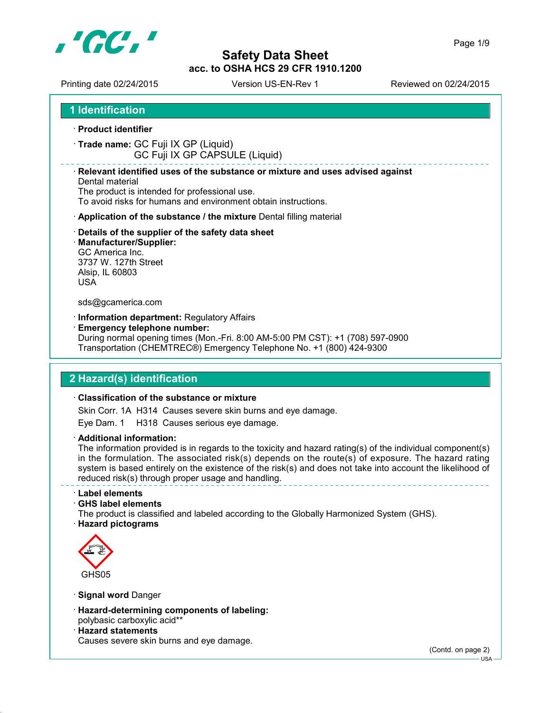

Printing date 02/24/2015 Version US-EN-Rev 1 Reviewed on 02/24/2015

**1 Identification**

- **Product identifier**
- **Trade name:** GC Fuji IX GP (Liquid) GC Fuji IX GP CAPSULE (Liquid)

#### **Relevant identified uses of the substance or mixture and uses advised against**

Dental material The product is intended for professional use. To avoid risks for humans and environment obtain instructions.

- **Application of the substance / the mixture** Dental filling material
- **Details of the supplier of the safety data sheet**
- **Manufacturer/Supplier:** GC America Inc. 3737 W. 127th Street Alsip, IL 60803 USA

#### sds@gcamerica.com

- **Information department:** Regulatory Affairs
- **Emergency telephone number:**

During normal opening times (Mon.-Fri. 8:00 AM-5:00 PM CST): +1 (708) 597-0900 Transportation (CHEMTREC®) Emergency Telephone No. +1 (800) 424-9300

### **2 Hazard(s) identification**

#### **Classification of the substance or mixture**

Skin Corr. 1A H314 Causes severe skin burns and eye damage.

Eye Dam. 1 H318 Causes serious eye damage.

**Additional information:**

The information provided is in regards to the toxicity and hazard rating(s) of the individual component(s) in the formulation. The associated risk(s) depends on the route(s) of exposure. The hazard rating system is based entirely on the existence of the risk(s) and does not take into account the likelihood of reduced risk(s) through proper usage and handling.

**Label elements**

**GHS label elements**

The product is classified and labeled according to the Globally Harmonized System (GHS).





**Signal word** Danger

- **Hazard-determining components of labeling:** polybasic carboxylic acid\*\*
- **Hazard statements** Causes severe skin burns and eye damage.

(Contd. on page 2)

 $-1$ ISA -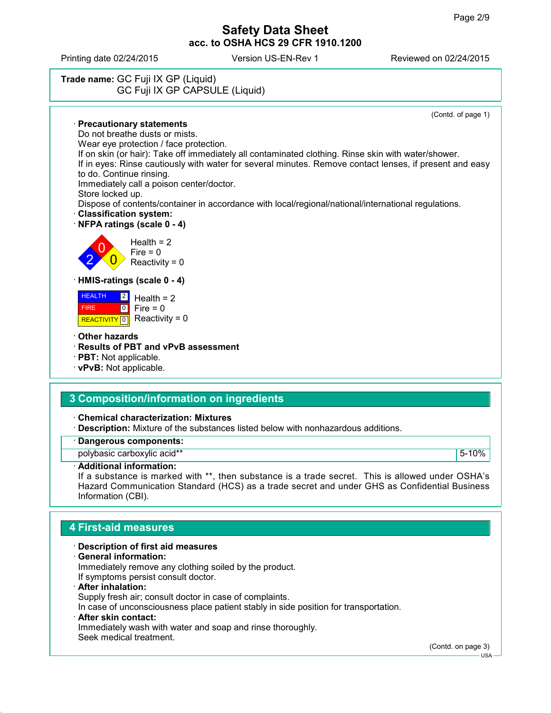Printing date 02/24/2015 Version US-EN-Rev 1 Reviewed on 02/24/2015

# **Trade name:** GC Fuji IX GP (Liquid) GC Fuji IX GP CAPSULE (Liquid)

(Contd. of page 1)

 **Precautionary statements** Do not breathe dusts or mists. Wear eye protection / face protection. If on skin (or hair): Take off immediately all contaminated clothing. Rinse skin with water/shower. If in eyes: Rinse cautiously with water for several minutes. Remove contact lenses, if present and easy to do. Continue rinsing. Immediately call a poison center/doctor. Store locked up. Dispose of contents/container in accordance with local/regional/national/international regulations. **Classification system: NFPA ratings (scale 0 - 4)** 2 0  $\overline{\mathbf{0}}$  $Health = 2$  $Fire = 0$ Reactivity =  $0$  **HMIS-ratings (scale 0 - 4) HEALTH**  FIRE  $\boxed{2}$  $\boxed{0}$ Health  $= 2$  $Fire = 0$  $Reactivity = 0$ 

**Other hazards**

**REACTIVITY** 0

- **Results of PBT and vPvB assessment**
- **PBT:** Not applicable.
- **vPvB:** Not applicable.

### **3 Composition/information on ingredients**

**Chemical characterization: Mixtures**

**Description:** Mixture of the substances listed below with nonhazardous additions.

### **Dangerous components:**

polybasic carboxylic acid\*\* The Contract of the Contract of the Second Second Second Second Second Second Second Second Second Second Second Second Second Second Second Second Second Second Second Second Second Second Seco

#### **Additional information:**

If a substance is marked with \*\*, then substance is a trade secret. This is allowed under OSHA's Hazard Communication Standard (HCS) as a trade secret and under GHS as Confidential Business Information (CBI).

### **4 First-aid measures**

#### **Description of first aid measures**

**General information:**

Immediately remove any clothing soiled by the product. If symptoms persist consult doctor.

**After inhalation:**

Supply fresh air; consult doctor in case of complaints.

In case of unconsciousness place patient stably in side position for transportation.

#### **After skin contact:**

Immediately wash with water and soap and rinse thoroughly. Seek medical treatment.

(Contd. on page 3)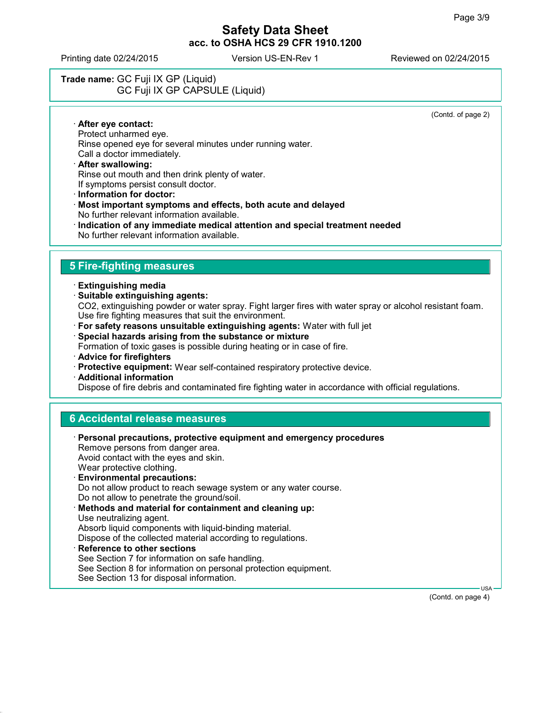Printing date 02/24/2015 Version US-EN-Rev 1 Reviewed on 02/24/2015

# **Trade name:** GC Fuji IX GP (Liquid) GC Fuji IX GP CAPSULE (Liquid)

(Contd. of page 2)

 **After eye contact:** Protect unharmed eye. Rinse opened eye for several minutes under running water. Call a doctor immediately.

#### **After swallowing:** Rinse out mouth and then drink plenty of water. If symptoms persist consult doctor.

- **Information for doctor:**
- **Most important symptoms and effects, both acute and delayed** No further relevant information available.
- **Indication of any immediate medical attention and special treatment needed** No further relevant information available.

## **5 Fire-fighting measures**

- **Extinguishing media**
- **Suitable extinguishing agents:** CO2, extinguishing powder or water spray. Fight larger fires with water spray or alcohol resistant foam. Use fire fighting measures that suit the environment.
- **For safety reasons unsuitable extinguishing agents:** Water with full jet
- **Special hazards arising from the substance or mixture**

Formation of toxic gases is possible during heating or in case of fire.

- **Advice for firefighters**
- **Protective equipment:** Wear self-contained respiratory protective device.
- **Additional information**

Dispose of fire debris and contaminated fire fighting water in accordance with official regulations.

### **6 Accidental release measures**

| <b>Personal precautions, protective equipment and emergency procedures</b><br>Remove persons from danger area.<br>Avoid contact with the eyes and skin. |
|---------------------------------------------------------------------------------------------------------------------------------------------------------|
| Wear protective clothing.                                                                                                                               |
| <b>Environmental precautions:</b>                                                                                                                       |
| Do not allow product to reach sewage system or any water course.                                                                                        |
| Do not allow to penetrate the ground/soil.                                                                                                              |
| Methods and material for containment and cleaning up:                                                                                                   |
| Use neutralizing agent.                                                                                                                                 |
| Absorb liquid components with liquid-binding material.                                                                                                  |
| Dispose of the collected material according to regulations.                                                                                             |
| · Reference to other sections                                                                                                                           |
| See Section 7 for information on safe handling.                                                                                                         |
| See Section 8 for information on personal protection equipment.                                                                                         |

See Section 13 for disposal information.

USA

(Contd. on page 4)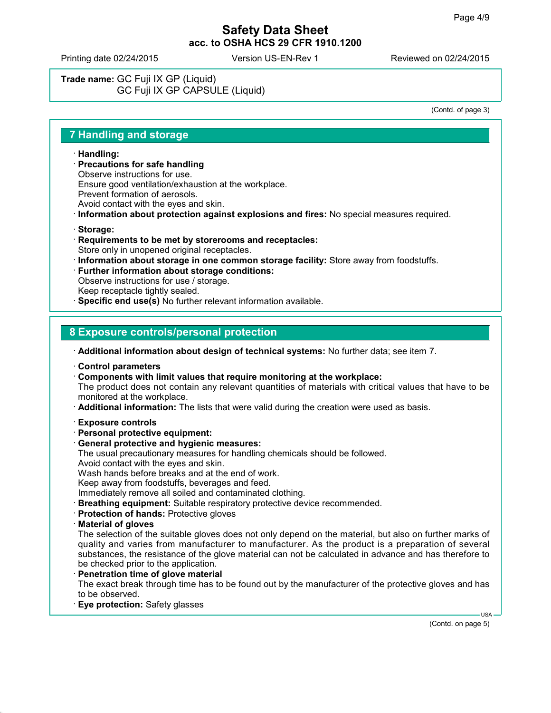Printing date 02/24/2015 Version US-EN-Rev 1 Reviewed on 02/24/2015

**Trade name:** GC Fuji IX GP (Liquid) GC Fuji IX GP CAPSULE (Liquid)

(Contd. of page 3)

### **7 Handling and storage**

- **Handling:**
- **Precautions for safe handling**
- Observe instructions for use.
- Ensure good ventilation/exhaustion at the workplace.
- Prevent formation of aerosols.
- Avoid contact with the eyes and skin.
- **Information about protection against explosions and fires:** No special measures required.
- **Storage:**
- **Requirements to be met by storerooms and receptacles:** Store only in unopened original receptacles.
- **Information about storage in one common storage facility:** Store away from foodstuffs.
- **Further information about storage conditions:** Observe instructions for use / storage. Keep receptacle tightly sealed. **Specific end use(s)** No further relevant information available.

# **8 Exposure controls/personal protection**

**Additional information about design of technical systems:** No further data; see item 7.

- **Control parameters**
- **Components with limit values that require monitoring at the workplace:**

The product does not contain any relevant quantities of materials with critical values that have to be monitored at the workplace.

- **Additional information:** The lists that were valid during the creation were used as basis.
- **Exposure controls**
- **Personal protective equipment:**
- **General protective and hygienic measures:**
- The usual precautionary measures for handling chemicals should be followed.
- Avoid contact with the eyes and skin.

Wash hands before breaks and at the end of work.

Keep away from foodstuffs, beverages and feed.

Immediately remove all soiled and contaminated clothing.

- **Breathing equipment:** Suitable respiratory protective device recommended.
- **Protection of hands:** Protective gloves
- **Material of gloves**

The selection of the suitable gloves does not only depend on the material, but also on further marks of quality and varies from manufacturer to manufacturer. As the product is a preparation of several substances, the resistance of the glove material can not be calculated in advance and has therefore to be checked prior to the application.

- **Penetration time of glove material** The exact break through time has to be found out by the manufacturer of the protective gloves and has to be observed.
- **Eye protection:** Safety glasses

(Contd. on page 5)

USA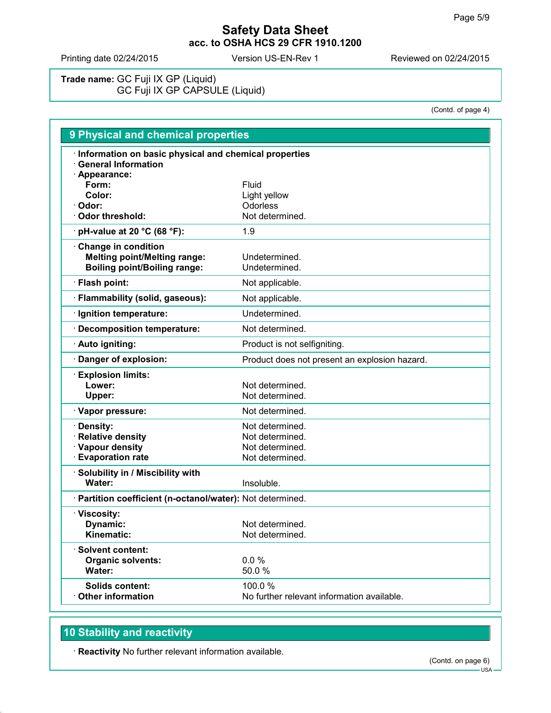Printing date 02/24/2015 Version US-EN-Rev 1 Reviewed on 02/24/2015

**Trade name:** GC Fuji IX GP (Liquid) GC Fuji IX GP CAPSULE (Liquid)

(Contd. of page 4)

| 9 Physical and chemical properties                                                                     |                                               |  |
|--------------------------------------------------------------------------------------------------------|-----------------------------------------------|--|
| · Information on basic physical and chemical properties<br><b>General Information</b><br>· Appearance: |                                               |  |
| Form:                                                                                                  | Fluid                                         |  |
| Color:                                                                                                 | Light yellow                                  |  |
| · Odor:                                                                                                | Odorless                                      |  |
| <b>Odor threshold:</b>                                                                                 | Not determined.                               |  |
| $\cdot$ pH-value at 20 °C (68 °F):                                                                     | 1.9                                           |  |
| Change in condition<br><b>Melting point/Melting range:</b><br><b>Boiling point/Boiling range:</b>      | Undetermined.<br>Undetermined.                |  |
| · Flash point:                                                                                         | Not applicable.                               |  |
| · Flammability (solid, gaseous):                                                                       | Not applicable.                               |  |
| · Ignition temperature:                                                                                | Undetermined.                                 |  |
| · Decomposition temperature:                                                                           | Not determined.                               |  |
| · Auto igniting:                                                                                       | Product is not selfigniting.                  |  |
| Danger of explosion:                                                                                   | Product does not present an explosion hazard. |  |
| <b>Explosion limits:</b><br>Lower:<br>Upper:                                                           | Not determined.<br>Not determined.            |  |
| · Vapor pressure:                                                                                      | Not determined.                               |  |
| · Density:                                                                                             | Not determined.                               |  |
| · Relative density                                                                                     | Not determined.                               |  |
| · Vapour density                                                                                       | Not determined.                               |  |
| <b>Evaporation rate</b>                                                                                | Not determined.                               |  |
| $\cdot$ Solubility in / Miscibility with                                                               |                                               |  |
| Water:                                                                                                 | Insoluble.                                    |  |
| · Partition coefficient (n-octanol/water): Not determined.                                             |                                               |  |
| · Viscosity:                                                                                           |                                               |  |
| Dynamic:                                                                                               | Not determined.                               |  |
| Kinematic:                                                                                             | Not determined.                               |  |
| · Solvent content:                                                                                     |                                               |  |
| <b>Organic solvents:</b>                                                                               | 0.0%                                          |  |
| Water:                                                                                                 | 50.0%                                         |  |
| <b>Solids content:</b>                                                                                 | 100.0%                                        |  |
| Other information                                                                                      | No further relevant information available.    |  |

# **10 Stability and reactivity**

**Reactivity** No further relevant information available.

 $-$  USA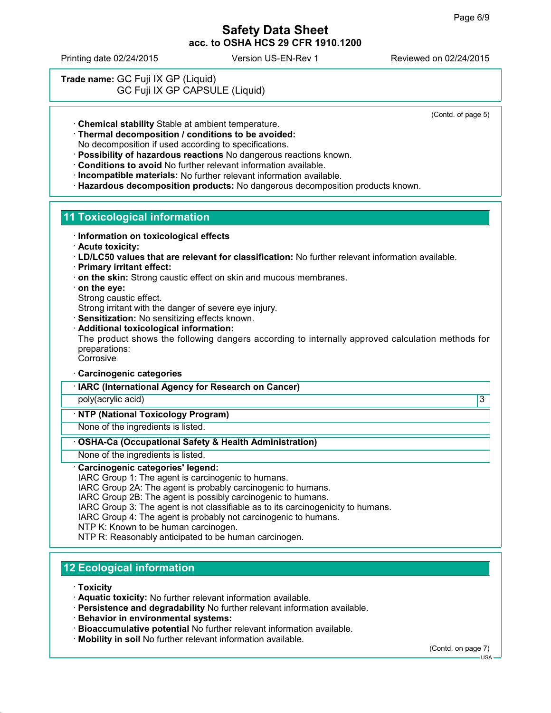Printing date 02/24/2015 Version US-EN-Rev 1 Reviewed on 02/24/2015

**Trade name:** GC Fuji IX GP (Liquid) GC Fuji IX GP CAPSULE (Liquid)

(Contd. of page 5)

**Chemical stability** Stable at ambient temperature.

**Thermal decomposition / conditions to be avoided:**

No decomposition if used according to specifications.

- **Possibility of hazardous reactions** No dangerous reactions known.
- **Conditions to avoid** No further relevant information available.
- **Incompatible materials:** No further relevant information available.
- **Hazardous decomposition products:** No dangerous decomposition products known.

# **11 Toxicological information**

- **Information on toxicological effects**
- **Acute toxicity:**
- **LD/LC50 values that are relevant for classification:** No further relevant information available.
- **Primary irritant effect:**
- **on the skin:** Strong caustic effect on skin and mucous membranes.
- **on the eye:**
- Strong caustic effect.
- Strong irritant with the danger of severe eye injury.
- **Sensitization:** No sensitizing effects known.
- **Additional toxicological information:**

The product shows the following dangers according to internally approved calculation methods for preparations:

**Corrosive** 

- **Carcinogenic categories**
- **IARC (International Agency for Research on Cancer)**
- poly(acrylic acid) 3

## **NTP (National Toxicology Program)**

None of the ingredients is listed.

### **OSHA-Ca (Occupational Safety & Health Administration)**

None of the ingredients is listed.

### **Carcinogenic categories' legend:**

IARC Group 1: The agent is carcinogenic to humans.

IARC Group 2A: The agent is probably carcinogenic to humans.

IARC Group 2B: The agent is possibly carcinogenic to humans.

IARC Group 3: The agent is not classifiable as to its carcinogenicity to humans.

IARC Group 4: The agent is probably not carcinogenic to humans.

NTP K: Known to be human carcinogen.

NTP R: Reasonably anticipated to be human carcinogen.

# **12 Ecological information**

**Toxicity**

- **Aquatic toxicity:** No further relevant information available.
- **Persistence and degradability** No further relevant information available.
- **Behavior in environmental systems:**
- **Bioaccumulative potential** No further relevant information available.
- **Mobility in soil** No further relevant information available.

(Contd. on page 7)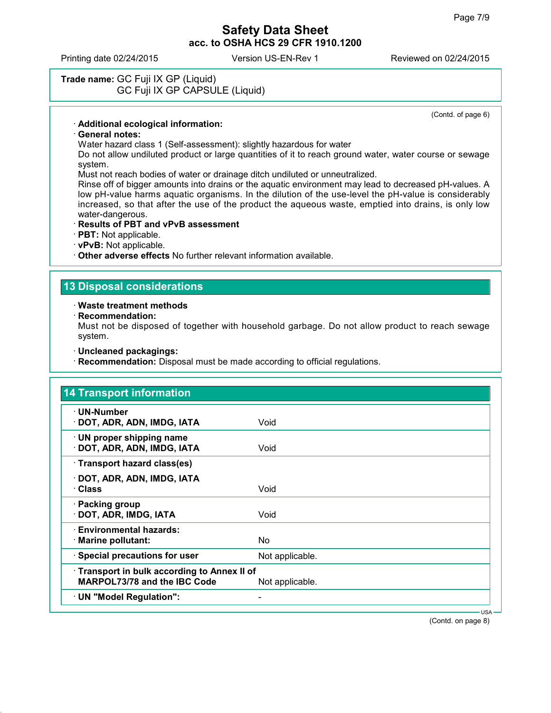Printing date 02/24/2015 Version US-EN-Rev 1 Reviewed on 02/24/2015

## **Trade name:** GC Fuji IX GP (Liquid) GC Fuji IX GP CAPSULE (Liquid)

(Contd. of page 6)

#### **Additional ecological information:**

#### **General notes:**

Water hazard class 1 (Self-assessment): slightly hazardous for water

Do not allow undiluted product or large quantities of it to reach ground water, water course or sewage system.

Must not reach bodies of water or drainage ditch undiluted or unneutralized.

Rinse off of bigger amounts into drains or the aquatic environment may lead to decreased pH-values. A low pH-value harms aquatic organisms. In the dilution of the use-level the pH-value is considerably increased, so that after the use of the product the aqueous waste, emptied into drains, is only low water-dangerous.

#### **Results of PBT and vPvB assessment**

**PBT:** Not applicable.

**vPvB:** Not applicable.

**Other adverse effects** No further relevant information available.

### **13 Disposal considerations**

#### **Waste treatment methods**

**Recommendation:**

Must not be disposed of together with household garbage. Do not allow product to reach sewage system.

- **Uncleaned packagings:**
- **Recommendation:** Disposal must be made according to official regulations.

| · UN-Number                                                                       |                 |  |
|-----------------------------------------------------------------------------------|-----------------|--|
| · DOT, ADR, ADN, IMDG, IATA                                                       | Void            |  |
| · UN proper shipping name<br>· DOT, ADR, ADN, IMDG, IATA                          | Void            |  |
| · Transport hazard class(es)                                                      |                 |  |
| · DOT, ADR, ADN, IMDG, IATA<br>· Class                                            | Void            |  |
| · Packing group<br>· DOT, ADR, IMDG, IATA                                         | Void            |  |
| · Environmental hazards:<br>· Marine pollutant:                                   | No.             |  |
| · Special precautions for user                                                    | Not applicable. |  |
| Transport in bulk according to Annex II of<br><b>MARPOL73/78 and the IBC Code</b> | Not applicable. |  |
| · UN "Model Regulation":                                                          | -               |  |

(Contd. on page 8)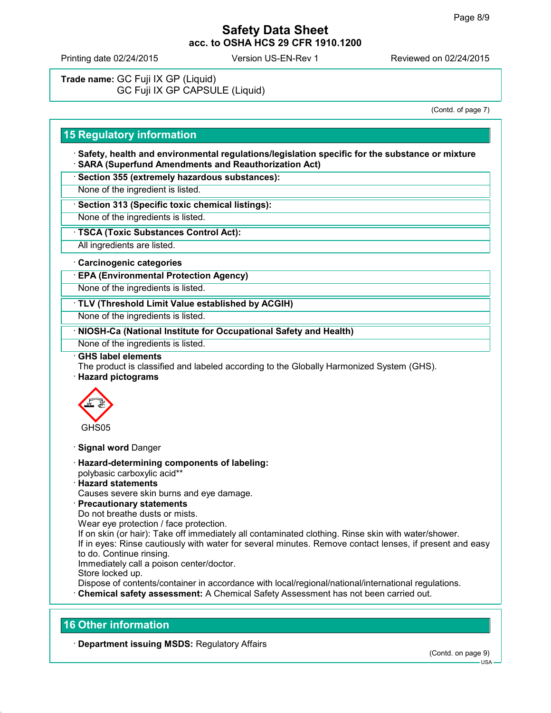Printing date 02/24/2015 Version US-EN-Rev 1 Reviewed on 02/24/2015

**Trade name:** GC Fuji IX GP (Liquid) GC Fuji IX GP CAPSULE (Liquid)

(Contd. of page 7)

## **15 Regulatory information**

 **Safety, health and environmental regulations/legislation specific for the substance or mixture SARA (Superfund Amendments and Reauthorization Act)**

**Section 355 (extremely hazardous substances):**

None of the ingredient is listed.

**Section 313 (Specific toxic chemical listings):**

None of the ingredients is listed.

**TSCA (Toxic Substances Control Act):**

All ingredients are listed.

#### **Carcinogenic categories**

**EPA (Environmental Protection Agency)**

None of the ingredients is listed.

**TLV (Threshold Limit Value established by ACGIH)**

None of the ingredients is listed.

**NIOSH-Ca (National Institute for Occupational Safety and Health)**

None of the ingredients is listed.

#### **GHS label elements**

The product is classified and labeled according to the Globally Harmonized System (GHS).

**Hazard pictograms**



- **Signal word** Danger
- **Hazard-determining components of labeling:** polybasic carboxylic acid\*\*
- **Hazard statements**

Causes severe skin burns and eye damage.

**Precautionary statements**

Do not breathe dusts or mists.

Wear eye protection / face protection.

If on skin (or hair): Take off immediately all contaminated clothing. Rinse skin with water/shower. If in eyes: Rinse cautiously with water for several minutes. Remove contact lenses, if present and easy to do. Continue rinsing.

Immediately call a poison center/doctor.

Store locked up.

Dispose of contents/container in accordance with local/regional/national/international regulations. **Chemical safety assessment:** A Chemical Safety Assessment has not been carried out.

### **16 Other information**

**Department issuing MSDS:** Regulatory Affairs

 $11S<sub>4</sub>$